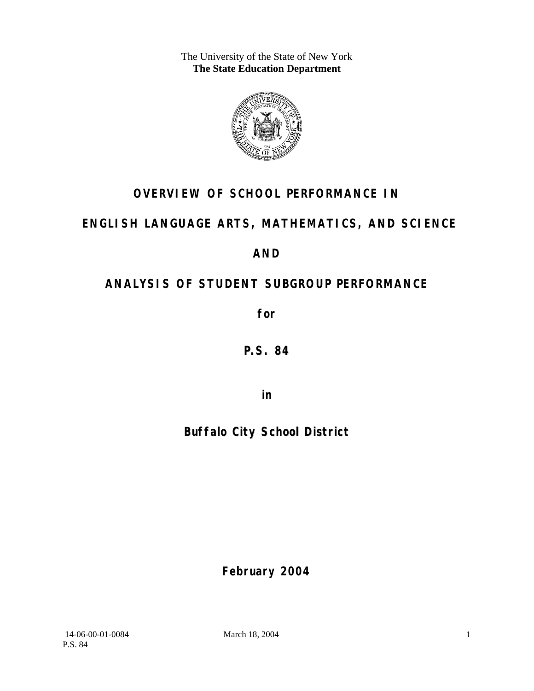The University of the State of New York **The State Education Department** 



## **OVERVIEW OF SCHOOL PERFORMANCE IN**

## **ENGLISH LANGUAGE ARTS, MATHEMATICS, AND SCIENCE**

**AND** 

# **ANALYSIS OF STUDENT SUBGROUP PERFORMANCE**

**for** 

**P.S. 84**

**in** 

# **Buffalo City School District**

**February 2004**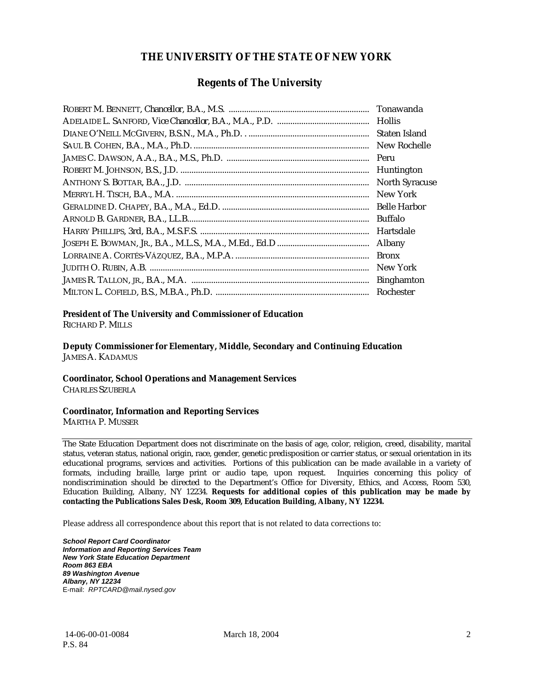#### **THE UNIVERSITY OF THE STATE OF NEW YORK**

#### **Regents of The University**

| Tonawanda             |
|-----------------------|
| <b>Hollis</b>         |
| Staten Island         |
| New Rochelle          |
| Peru                  |
| Huntington            |
| <b>North Syracuse</b> |
| New York              |
| <b>Belle Harbor</b>   |
| <b>Buffalo</b>        |
| Hartsdale             |
| Albany                |
| <b>Bronx</b>          |
| New York              |
| <b>Binghamton</b>     |
| Rochester             |

#### **President of The University and Commissioner of Education**

RICHARD P. MILLS

**Deputy Commissioner for Elementary, Middle, Secondary and Continuing Education**  JAMES A. KADAMUS

#### **Coordinator, School Operations and Management Services**

CHARLES SZUBERLA

#### **Coordinator, Information and Reporting Services**

MARTHA P. MUSSER

The State Education Department does not discriminate on the basis of age, color, religion, creed, disability, marital status, veteran status, national origin, race, gender, genetic predisposition or carrier status, or sexual orientation in its educational programs, services and activities. Portions of this publication can be made available in a variety of formats, including braille, large print or audio tape, upon request. Inquiries concerning this policy of nondiscrimination should be directed to the Department's Office for Diversity, Ethics, and Access, Room 530, Education Building, Albany, NY 12234. **Requests for additional copies of this publication may be made by contacting the Publications Sales Desk, Room 309, Education Building, Albany, NY 12234.** 

Please address all correspondence about this report that is not related to data corrections to:

*School Report Card Coordinator Information and Reporting Services Team New York State Education Department Room 863 EBA 89 Washington Avenue Albany, NY 12234*  E-mail: *RPTCARD@mail.nysed.gov*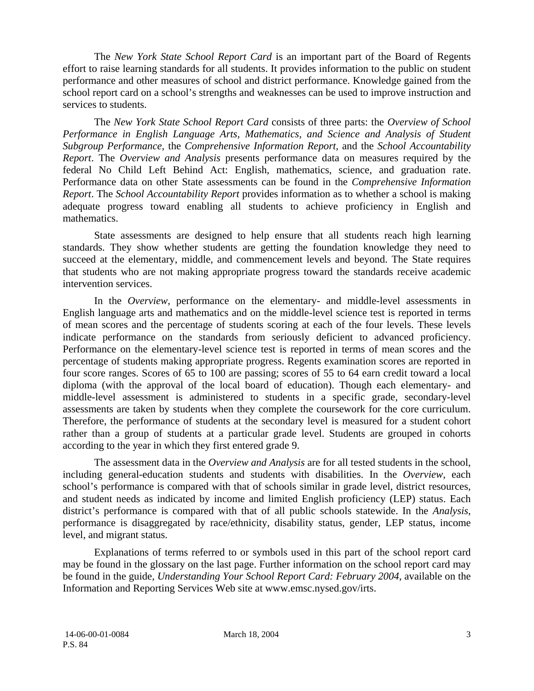The *New York State School Report Card* is an important part of the Board of Regents effort to raise learning standards for all students. It provides information to the public on student performance and other measures of school and district performance. Knowledge gained from the school report card on a school's strengths and weaknesses can be used to improve instruction and services to students.

The *New York State School Report Card* consists of three parts: the *Overview of School Performance in English Language Arts, Mathematics, and Science and Analysis of Student Subgroup Performance,* the *Comprehensive Information Report,* and the *School Accountability Report*. The *Overview and Analysis* presents performance data on measures required by the federal No Child Left Behind Act: English, mathematics, science, and graduation rate. Performance data on other State assessments can be found in the *Comprehensive Information Report*. The *School Accountability Report* provides information as to whether a school is making adequate progress toward enabling all students to achieve proficiency in English and mathematics.

State assessments are designed to help ensure that all students reach high learning standards. They show whether students are getting the foundation knowledge they need to succeed at the elementary, middle, and commencement levels and beyond. The State requires that students who are not making appropriate progress toward the standards receive academic intervention services.

In the *Overview*, performance on the elementary- and middle-level assessments in English language arts and mathematics and on the middle-level science test is reported in terms of mean scores and the percentage of students scoring at each of the four levels. These levels indicate performance on the standards from seriously deficient to advanced proficiency. Performance on the elementary-level science test is reported in terms of mean scores and the percentage of students making appropriate progress. Regents examination scores are reported in four score ranges. Scores of 65 to 100 are passing; scores of 55 to 64 earn credit toward a local diploma (with the approval of the local board of education). Though each elementary- and middle-level assessment is administered to students in a specific grade, secondary-level assessments are taken by students when they complete the coursework for the core curriculum. Therefore, the performance of students at the secondary level is measured for a student cohort rather than a group of students at a particular grade level. Students are grouped in cohorts according to the year in which they first entered grade 9.

The assessment data in the *Overview and Analysis* are for all tested students in the school, including general-education students and students with disabilities. In the *Overview*, each school's performance is compared with that of schools similar in grade level, district resources, and student needs as indicated by income and limited English proficiency (LEP) status. Each district's performance is compared with that of all public schools statewide. In the *Analysis*, performance is disaggregated by race/ethnicity, disability status, gender, LEP status, income level, and migrant status.

Explanations of terms referred to or symbols used in this part of the school report card may be found in the glossary on the last page. Further information on the school report card may be found in the guide, *Understanding Your School Report Card: February 2004*, available on the Information and Reporting Services Web site at www.emsc.nysed.gov/irts.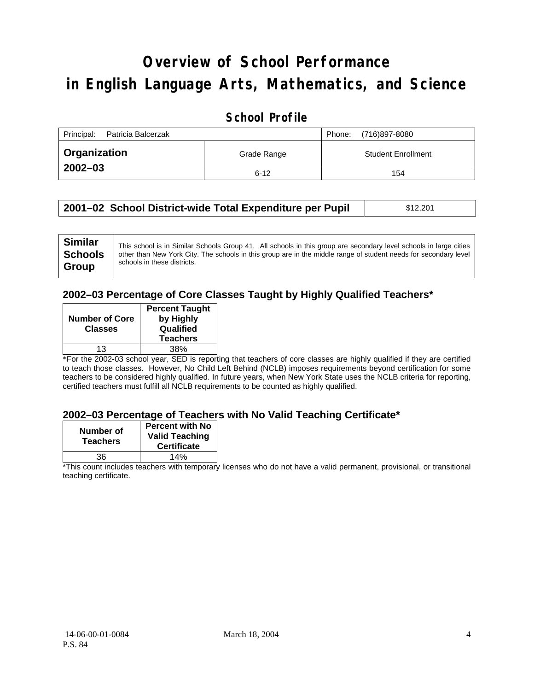# **Overview of School Performance in English Language Arts, Mathematics, and Science**

### **School Profile**

| Principal:<br>Patricia Balcerzak |             | (716)897-8080<br>Phone:   |
|----------------------------------|-------------|---------------------------|
| <b>Organization</b>              | Grade Range | <b>Student Enrollment</b> |
| $2002 - 03$                      | $6 - 12$    | 154                       |

| 2001–02 School District-wide Total Expenditure per Pupil | \$12,201 |
|----------------------------------------------------------|----------|
|----------------------------------------------------------|----------|

#### **2002–03 Percentage of Core Classes Taught by Highly Qualified Teachers\***

| <b>Number of Core</b><br><b>Classes</b> | <b>Percent Taught</b><br>by Highly<br>Qualified<br><b>Teachers</b> |
|-----------------------------------------|--------------------------------------------------------------------|
| 13                                      | 38%                                                                |

\*For the 2002-03 school year, SED is reporting that teachers of core classes are highly qualified if they are certified to teach those classes. However, No Child Left Behind (NCLB) imposes requirements beyond certification for some teachers to be considered highly qualified. In future years, when New York State uses the NCLB criteria for reporting, certified teachers must fulfill all NCLB requirements to be counted as highly qualified.

#### **2002–03 Percentage of Teachers with No Valid Teaching Certificate\***

| Number of<br><b>Teachers</b> | <b>Percent with No</b><br><b>Valid Teaching</b><br><b>Certificate</b> |
|------------------------------|-----------------------------------------------------------------------|
| 36                           | 14%                                                                   |

\*This count includes teachers with temporary licenses who do not have a valid permanent, provisional, or transitional teaching certificate.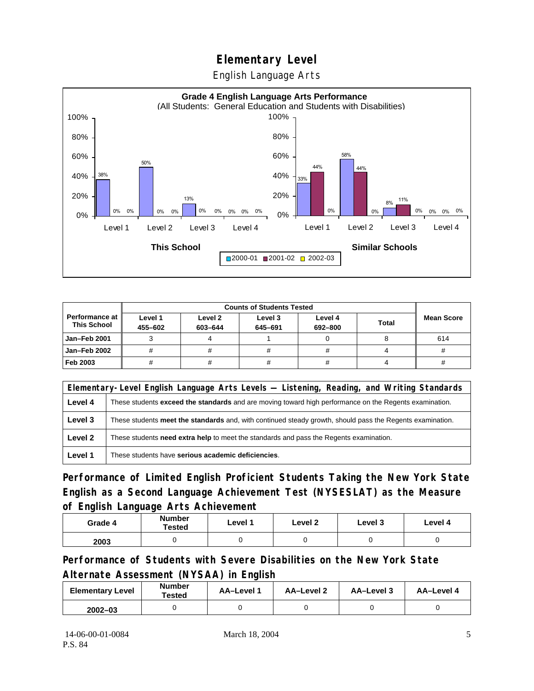English Language Arts



|                                      |                    | <b>Counts of Students Tested</b> |                    |                    |              |                   |
|--------------------------------------|--------------------|----------------------------------|--------------------|--------------------|--------------|-------------------|
| Performance at<br><b>This School</b> | Level 1<br>455-602 | Level 2<br>603-644               | Level 3<br>645-691 | Level 4<br>692-800 | <b>Total</b> | <b>Mean Score</b> |
| <b>Jan-Feb 2001</b>                  |                    |                                  |                    |                    |              | 614               |
| Jan-Feb 2002                         |                    |                                  |                    | #                  |              |                   |
| Feb 2003                             |                    |                                  |                    | #                  |              |                   |

|         | Elementary-Level English Language Arts Levels — Listening, Reading, and Writing Standards                     |  |  |  |
|---------|---------------------------------------------------------------------------------------------------------------|--|--|--|
| Level 4 | These students <b>exceed the standards</b> and are moving toward high performance on the Regents examination. |  |  |  |
| Level 3 | These students meet the standards and, with continued steady growth, should pass the Regents examination.     |  |  |  |
| Level 2 | These students <b>need extra help</b> to meet the standards and pass the Regents examination.                 |  |  |  |
| Level 1 | These students have serious academic deficiencies.                                                            |  |  |  |

**Performance of Limited English Proficient Students Taking the New York State English as a Second Language Achievement Test (NYSESLAT) as the Measure of English Language Arts Achievement**

| Grade 4 | <b>Number</b><br><b>Tested</b> | Level 1 | Level 2 | Level 3 | Level 4 |
|---------|--------------------------------|---------|---------|---------|---------|
| 2003    |                                |         |         |         |         |

**Performance of Students with Severe Disabilities on the New York State Alternate Assessment (NYSAA) in English** 

| <b>Elementary Level</b> | <b>Number</b><br>Tested | <b>AA-Level 1</b> | <b>AA-Level 2</b> | AA-Level 3 | AA-Level 4 |
|-------------------------|-------------------------|-------------------|-------------------|------------|------------|
| $2002 - 03$             |                         |                   |                   |            |            |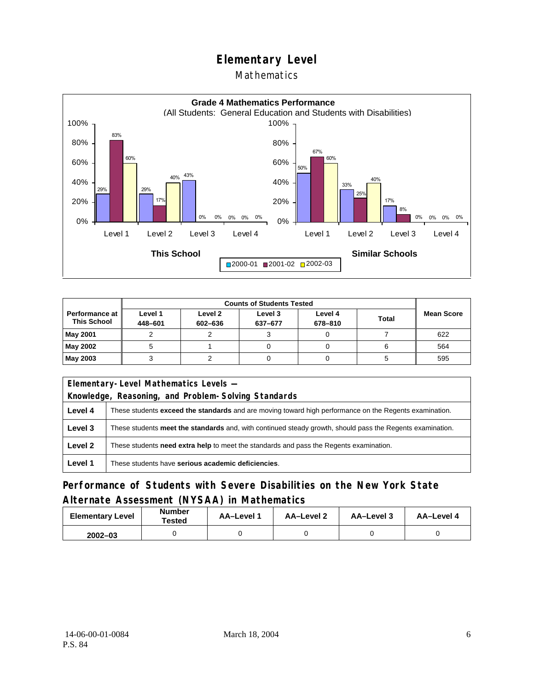### Mathematics



|                                               | <b>Counts of Students Tested</b> |                    |                    |                    |              |                   |
|-----------------------------------------------|----------------------------------|--------------------|--------------------|--------------------|--------------|-------------------|
| <b>Performance at I</b><br><b>This School</b> | Level 1<br>448-601               | Level 2<br>602-636 | Level 3<br>637-677 | Level 4<br>678-810 | <b>Total</b> | <b>Mean Score</b> |
| May 2001                                      |                                  |                    |                    |                    |              | 622               |
| May 2002                                      |                                  |                    |                    |                    |              | 564               |
| May 2003                                      |                                  |                    |                    |                    |              | 595               |

|                                                     | Elementary-Level Mathematics Levels -                                                                         |  |  |
|-----------------------------------------------------|---------------------------------------------------------------------------------------------------------------|--|--|
| Knowledge, Reasoning, and Problem-Solving Standards |                                                                                                               |  |  |
| Level 4                                             | These students <b>exceed the standards</b> and are moving toward high performance on the Regents examination. |  |  |
| Level 3                                             | These students meet the standards and, with continued steady growth, should pass the Regents examination.     |  |  |
| Level 2                                             | These students <b>need extra help</b> to meet the standards and pass the Regents examination.                 |  |  |
| Level 1                                             | These students have serious academic deficiencies.                                                            |  |  |

## **Performance of Students with Severe Disabilities on the New York State Alternate Assessment (NYSAA) in Mathematics**

| <b>Elementary Level</b> | <b>Number</b><br>Tested | AA-Level 1 | AA-Level 2 | AA-Level 3 | AA-Level 4 |
|-------------------------|-------------------------|------------|------------|------------|------------|
| $2002 - 03$             |                         |            |            |            |            |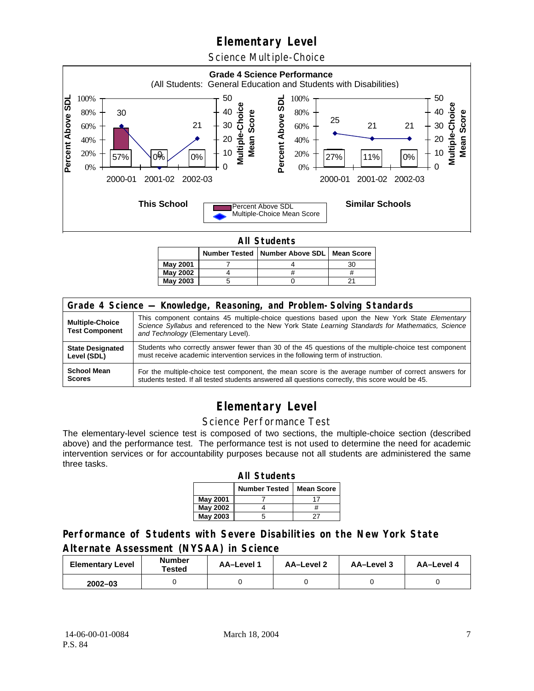Science Multiple-Choice



**All Students** 

|          |  | Number Tested   Number Above SDL   Mean Score |    |  |  |  |  |
|----------|--|-----------------------------------------------|----|--|--|--|--|
| May 2001 |  |                                               | 3С |  |  |  |  |
| May 2002 |  |                                               |    |  |  |  |  |
| May 2003 |  |                                               |    |  |  |  |  |

| Grade 4 Science - Knowledge, Reasoning, and Problem-Solving Standards |                                                                                                                                                                                                                                          |  |  |  |  |
|-----------------------------------------------------------------------|------------------------------------------------------------------------------------------------------------------------------------------------------------------------------------------------------------------------------------------|--|--|--|--|
| <b>Multiple-Choice</b><br><b>Test Component</b>                       | This component contains 45 multiple-choice questions based upon the New York State Elementary<br>Science Syllabus and referenced to the New York State Learning Standards for Mathematics, Science<br>and Technology (Elementary Level). |  |  |  |  |
| <b>State Designated</b>                                               | Students who correctly answer fewer than 30 of the 45 questions of the multiple-choice test component                                                                                                                                    |  |  |  |  |
| Level (SDL)                                                           | must receive academic intervention services in the following term of instruction.                                                                                                                                                        |  |  |  |  |
| <b>School Mean</b>                                                    | For the multiple-choice test component, the mean score is the average number of correct answers for                                                                                                                                      |  |  |  |  |
| <b>Scores</b>                                                         | students tested. If all tested students answered all questions correctly, this score would be 45.                                                                                                                                        |  |  |  |  |

## **Elementary Level**

#### Science Performance Test

The elementary-level science test is composed of two sections, the multiple-choice section (described above) and the performance test. The performance test is not used to determine the need for academic intervention services or for accountability purposes because not all students are administered the same three tasks.

| <b>All Students</b>                       |  |  |  |  |  |
|-------------------------------------------|--|--|--|--|--|
| <b>Number Tested</b><br><b>Mean Score</b> |  |  |  |  |  |
| May 2001                                  |  |  |  |  |  |
| May 2002                                  |  |  |  |  |  |
| <b>May 2003</b>                           |  |  |  |  |  |

#### **Performance of Students with Severe Disabilities on the New York State Alternate Assessment (NYSAA) in Science**

| <b>Elementary Level</b> | <b>Number</b><br>Tested | AA-Level 1 | <b>AA-Level 2</b> | AA-Level 3 | AA-Level 4 |
|-------------------------|-------------------------|------------|-------------------|------------|------------|
| $2002 - 03$             |                         |            |                   |            |            |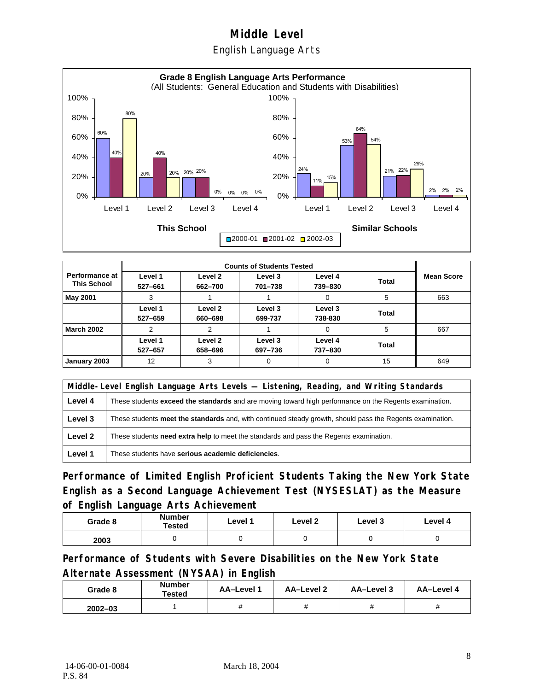English Language Arts



|                                             |                    |                    | <b>Counts of Students Tested</b> |                    |              |                   |
|---------------------------------------------|--------------------|--------------------|----------------------------------|--------------------|--------------|-------------------|
| <b>Performance at</b><br><b>This School</b> | Level 1<br>527-661 | Level 2<br>662-700 | Level 3<br>701-738               | Level 4<br>739-830 | <b>Total</b> | <b>Mean Score</b> |
| May 2001                                    |                    |                    |                                  | 0                  | 5            | 663               |
|                                             | Level 1<br>527-659 | Level 2<br>660-698 | Level 3<br>699-737               | Level 3<br>738-830 | Total        |                   |
| <b>March 2002</b>                           | 2                  | 2                  |                                  | 0                  | 5            | 667               |
|                                             | Level 1<br>527-657 | Level 2<br>658-696 | Level 3<br>697-736               | Level 4<br>737-830 | Total        |                   |
| January 2003                                | 12                 | 3                  | $\Omega$                         | 0                  | 15           | 649               |

|         | Middle-Level English Language Arts Levels - Listening, Reading, and Writing Standards                         |  |  |  |  |
|---------|---------------------------------------------------------------------------------------------------------------|--|--|--|--|
| Level 4 | These students <b>exceed the standards</b> and are moving toward high performance on the Regents examination. |  |  |  |  |
| Level 3 | These students meet the standards and, with continued steady growth, should pass the Regents examination.     |  |  |  |  |
| Level 2 | These students need extra help to meet the standards and pass the Regents examination.                        |  |  |  |  |
| Level 1 | These students have serious academic deficiencies.                                                            |  |  |  |  |

**Performance of Limited English Proficient Students Taking the New York State English as a Second Language Achievement Test (NYSESLAT) as the Measure of English Language Arts Achievement**

| Grade 8 | Number<br>Tested | Level 1 | Level 2 | Level 3 | Level 4 |
|---------|------------------|---------|---------|---------|---------|
| 2003    |                  |         |         |         |         |

**Performance of Students with Severe Disabilities on the New York State Alternate Assessment (NYSAA) in English** 

| Grade 8     | Number<br>Tested | AA-Level 1 | AA-Level 2 | AA-Level 3 | AA-Level 4 |
|-------------|------------------|------------|------------|------------|------------|
| $2002 - 03$ |                  |            |            |            |            |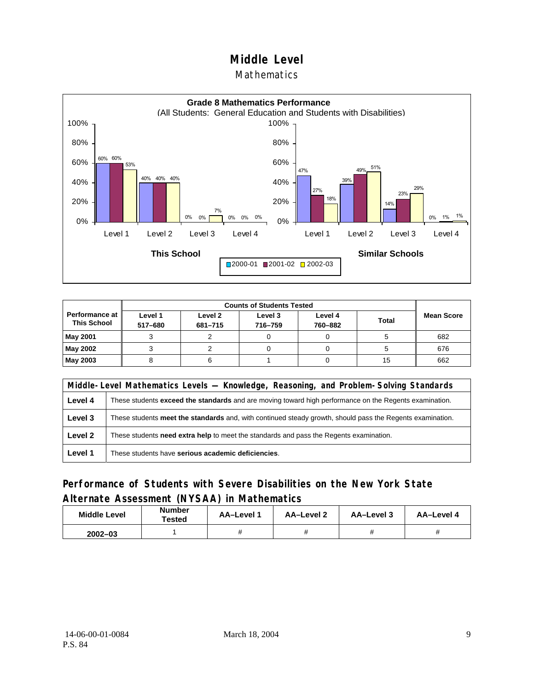#### **Mathematics**



| <b>Counts of Students Tested</b>       |                    |                    |                    |                    |       |                   |
|----------------------------------------|--------------------|--------------------|--------------------|--------------------|-------|-------------------|
| Performance at I<br><b>This School</b> | Level 1<br>517-680 | Level 2<br>681-715 | Level 3<br>716-759 | Level 4<br>760-882 | Total | <b>Mean Score</b> |
| <b>May 2001</b>                        |                    |                    |                    |                    |       | 682               |
| May 2002                               |                    |                    |                    |                    |       | 676               |
| <b>May 2003</b>                        |                    |                    |                    |                    | 15    | 662               |

|         | Middle-Level Mathematics Levels — Knowledge, Reasoning, and Problem-Solving Standards                         |  |  |  |  |
|---------|---------------------------------------------------------------------------------------------------------------|--|--|--|--|
| Level 4 | These students <b>exceed the standards</b> and are moving toward high performance on the Regents examination. |  |  |  |  |
| Level 3 | These students meet the standards and, with continued steady growth, should pass the Regents examination.     |  |  |  |  |
| Level 2 | These students <b>need extra help</b> to meet the standards and pass the Regents examination.                 |  |  |  |  |
| Level 1 | These students have serious academic deficiencies.                                                            |  |  |  |  |

### **Performance of Students with Severe Disabilities on the New York State Alternate Assessment (NYSAA) in Mathematics**

| <b>Middle Level</b> | <b>Number</b><br>Tested | <b>AA–Level</b> า | AA-Level 2 | AA-Level 3 | AA-Level 4 |
|---------------------|-------------------------|-------------------|------------|------------|------------|
| $2002 - 03$         |                         |                   |            |            |            |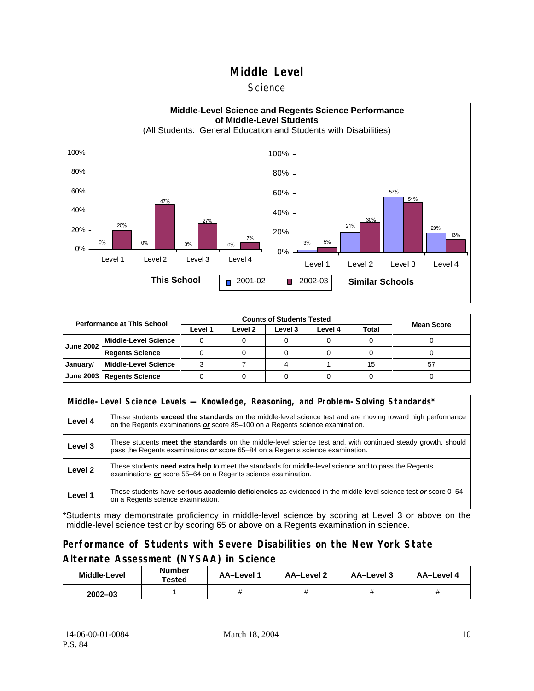#### **Science**



| <b>Performance at This School</b> |                             |         | <b>Counts of Students Tested</b> | <b>Mean Score</b> |         |              |    |
|-----------------------------------|-----------------------------|---------|----------------------------------|-------------------|---------|--------------|----|
|                                   |                             | Level 1 | Level 2                          | Level 3           | Level 4 | <b>Total</b> |    |
| <b>June 2002</b>                  | l Middle-Level Science      |         |                                  |                   |         |              |    |
|                                   | <b>Regents Science</b>      |         |                                  |                   |         |              |    |
| January/                          | Middle-Level Science        |         |                                  |                   |         | 15           | 57 |
|                                   | June 2003   Regents Science |         |                                  |                   |         |              |    |

|         | Middle-Level Science Levels — Knowledge, Reasoning, and Problem-Solving Standards*                                                                                                                  |  |  |  |  |  |  |  |
|---------|-----------------------------------------------------------------------------------------------------------------------------------------------------------------------------------------------------|--|--|--|--|--|--|--|
| Level 4 | These students <b>exceed the standards</b> on the middle-level science test and are moving toward high performance<br>on the Regents examinations or score 85–100 on a Regents science examination. |  |  |  |  |  |  |  |
| Level 3 | These students meet the standards on the middle-level science test and, with continued steady growth, should<br>pass the Regents examinations or score 65-84 on a Regents science examination.      |  |  |  |  |  |  |  |
| Level 2 | These students <b>need extra help</b> to meet the standards for middle-level science and to pass the Regents<br>examinations or score 55-64 on a Regents science examination.                       |  |  |  |  |  |  |  |
| Level 1 | These students have serious academic deficiencies as evidenced in the middle-level science test or score 0–54<br>on a Regents science examination.                                                  |  |  |  |  |  |  |  |

\*Students may demonstrate proficiency in middle-level science by scoring at Level 3 or above on the middle-level science test or by scoring 65 or above on a Regents examination in science.

#### **Performance of Students with Severe Disabilities on the New York State Alternate Assessment (NYSAA) in Science**

| <b>Middle-Level</b> | <b>Number</b><br>AA-Level 1<br>Tested |  | AA-Level 2 | AA-Level 3 | AA-Level 4 |
|---------------------|---------------------------------------|--|------------|------------|------------|
| $2002 - 03$         |                                       |  |            |            |            |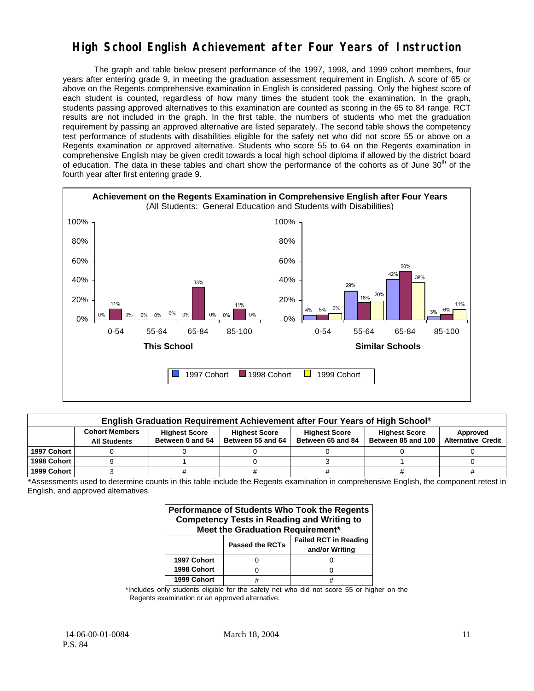## **High School English Achievement after Four Years of Instruction**

The graph and table below present performance of the 1997, 1998, and 1999 cohort members, four years after entering grade 9, in meeting the graduation assessment requirement in English. A score of 65 or above on the Regents comprehensive examination in English is considered passing. Only the highest score of each student is counted, regardless of how many times the student took the examination. In the graph, students passing approved alternatives to this examination are counted as scoring in the 65 to 84 range. RCT results are not included in the graph. In the first table, the numbers of students who met the graduation requirement by passing an approved alternative are listed separately. The second table shows the competency test performance of students with disabilities eligible for the safety net who did not score 55 or above on a Regents examination or approved alternative. Students who score 55 to 64 on the Regents examination in comprehensive English may be given credit towards a local high school diploma if allowed by the district board of education. The data in these tables and chart show the performance of the cohorts as of June  $30<sup>th</sup>$  of the fourth year after first entering grade 9.



|             | English Graduation Requirement Achievement after Four Years of High School* |                                          |                                           |                                           |                                            |                                       |  |  |  |  |  |
|-------------|-----------------------------------------------------------------------------|------------------------------------------|-------------------------------------------|-------------------------------------------|--------------------------------------------|---------------------------------------|--|--|--|--|--|
|             | <b>Cohort Members</b><br><b>All Students</b>                                | <b>Highest Score</b><br>Between 0 and 54 | <b>Highest Score</b><br>Between 55 and 64 | <b>Highest Score</b><br>Between 65 and 84 | <b>Highest Score</b><br>Between 85 and 100 | Approved<br><b>Alternative Credit</b> |  |  |  |  |  |
| 1997 Cohort |                                                                             |                                          |                                           |                                           |                                            |                                       |  |  |  |  |  |
| 1998 Cohort |                                                                             |                                          |                                           |                                           |                                            |                                       |  |  |  |  |  |
| 1999 Cohort |                                                                             |                                          |                                           |                                           |                                            |                                       |  |  |  |  |  |

\*Assessments used to determine counts in this table include the Regents examination in comprehensive English, the component retest in English, and approved alternatives.

| Performance of Students Who Took the Regents<br><b>Competency Tests in Reading and Writing to</b><br>Meet the Graduation Requirement* |                        |                                                |  |  |  |  |
|---------------------------------------------------------------------------------------------------------------------------------------|------------------------|------------------------------------------------|--|--|--|--|
|                                                                                                                                       | <b>Passed the RCTs</b> | <b>Failed RCT in Reading</b><br>and/or Writing |  |  |  |  |
| 1997 Cohort                                                                                                                           |                        |                                                |  |  |  |  |
| 1998 Cohort                                                                                                                           |                        |                                                |  |  |  |  |
| 1999 Cohort                                                                                                                           |                        |                                                |  |  |  |  |

\*Includes only students eligible for the safety net who did not score 55 or higher on the Regents examination or an approved alternative.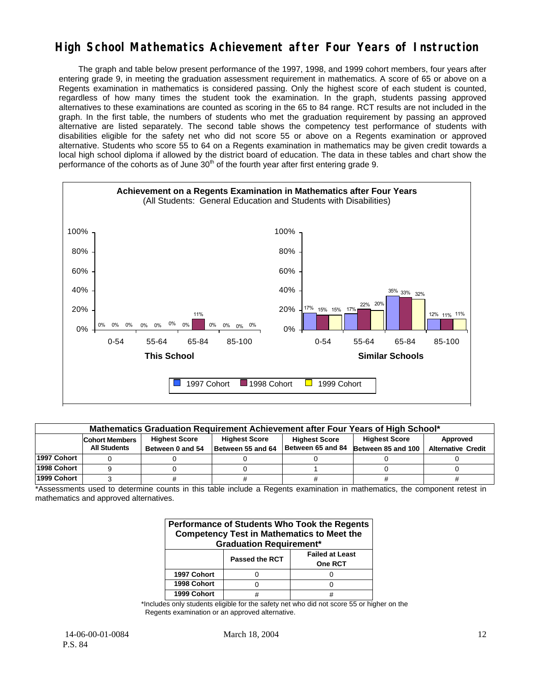## **High School Mathematics Achievement after Four Years of Instruction**

The graph and table below present performance of the 1997, 1998, and 1999 cohort members, four years after entering grade 9, in meeting the graduation assessment requirement in mathematics. A score of 65 or above on a Regents examination in mathematics is considered passing. Only the highest score of each student is counted, regardless of how many times the student took the examination. In the graph, students passing approved alternatives to these examinations are counted as scoring in the 65 to 84 range. RCT results are not included in the graph. In the first table, the numbers of students who met the graduation requirement by passing an approved alternative are listed separately. The second table shows the competency test performance of students with disabilities eligible for the safety net who did not score 55 or above on a Regents examination or approved alternative. Students who score 55 to 64 on a Regents examination in mathematics may be given credit towards a local high school diploma if allowed by the district board of education. The data in these tables and chart show the performance of the cohorts as of June  $30<sup>th</sup>$  of the fourth year after first entering grade 9.



|             | Mathematics Graduation Requirement Achievement after Four Years of High School* |                      |                      |                      |                                      |                           |  |  |  |  |
|-------------|---------------------------------------------------------------------------------|----------------------|----------------------|----------------------|--------------------------------------|---------------------------|--|--|--|--|
|             | <b>Cohort Members</b>                                                           | <b>Highest Score</b> | <b>Highest Score</b> | <b>Highest Score</b> | <b>Highest Score</b>                 | Approved                  |  |  |  |  |
|             | <b>All Students</b>                                                             | Between 0 and 54     | Between 55 and 64    |                      | Between 65 and 84 Between 85 and 100 | <b>Alternative Credit</b> |  |  |  |  |
| 1997 Cohort |                                                                                 |                      |                      |                      |                                      |                           |  |  |  |  |
| 1998 Cohort |                                                                                 |                      |                      |                      |                                      |                           |  |  |  |  |
| 1999 Cohort |                                                                                 |                      |                      |                      |                                      |                           |  |  |  |  |

\*Assessments used to determine counts in this table include a Regents examination in mathematics, the component retest in mathematics and approved alternatives.

| <b>Performance of Students Who Took the Regents</b><br><b>Competency Test in Mathematics to Meet the</b><br><b>Graduation Requirement*</b> |                       |                                   |  |  |  |
|--------------------------------------------------------------------------------------------------------------------------------------------|-----------------------|-----------------------------------|--|--|--|
|                                                                                                                                            | <b>Passed the RCT</b> | <b>Failed at Least</b><br>One RCT |  |  |  |
| 1997 Cohort                                                                                                                                |                       |                                   |  |  |  |
| 1998 Cohort                                                                                                                                |                       |                                   |  |  |  |
| 1999 Cohort                                                                                                                                |                       |                                   |  |  |  |

\*Includes only students eligible for the safety net who did not score 55 or higher on the Regents examination or an approved alternative.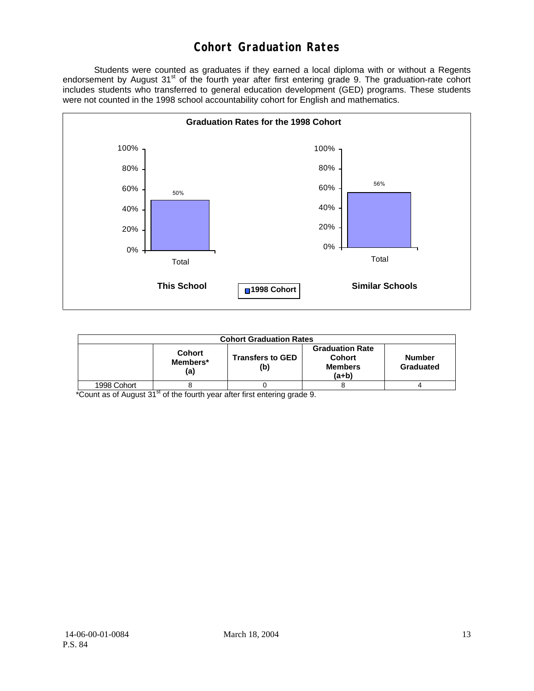## **Cohort Graduation Rates**

 Students were counted as graduates if they earned a local diploma with or without a Regents endorsement by August 31<sup>st</sup> of the fourth year after first entering grade 9. The graduation-rate cohort includes students who transferred to general education development (GED) programs. These students were not counted in the 1998 school accountability cohort for English and mathematics.



| <b>Cohort Graduation Rates</b> |                                  |                                |                                                               |                            |  |  |  |  |  |
|--------------------------------|----------------------------------|--------------------------------|---------------------------------------------------------------|----------------------------|--|--|--|--|--|
|                                | <b>Cohort</b><br>Members*<br>(a) | <b>Transfers to GED</b><br>(b) | <b>Graduation Rate</b><br>Cohort<br><b>Members</b><br>$(a+b)$ | <b>Number</b><br>Graduated |  |  |  |  |  |
| 1998 Cohort                    |                                  |                                |                                                               |                            |  |  |  |  |  |

\*Count as of August 31<sup>st</sup> of the fourth year after first entering grade 9.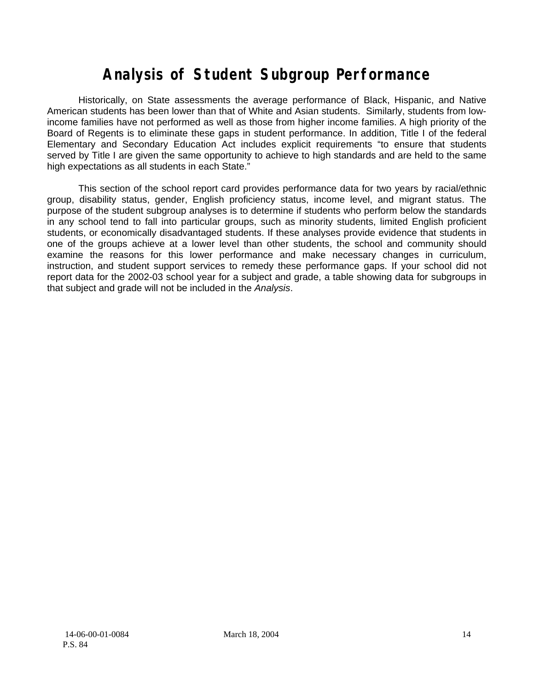# **Analysis of Student Subgroup Performance**

Historically, on State assessments the average performance of Black, Hispanic, and Native American students has been lower than that of White and Asian students. Similarly, students from lowincome families have not performed as well as those from higher income families. A high priority of the Board of Regents is to eliminate these gaps in student performance. In addition, Title I of the federal Elementary and Secondary Education Act includes explicit requirements "to ensure that students served by Title I are given the same opportunity to achieve to high standards and are held to the same high expectations as all students in each State."

This section of the school report card provides performance data for two years by racial/ethnic group, disability status, gender, English proficiency status, income level, and migrant status. The purpose of the student subgroup analyses is to determine if students who perform below the standards in any school tend to fall into particular groups, such as minority students, limited English proficient students, or economically disadvantaged students. If these analyses provide evidence that students in one of the groups achieve at a lower level than other students, the school and community should examine the reasons for this lower performance and make necessary changes in curriculum, instruction, and student support services to remedy these performance gaps. If your school did not report data for the 2002-03 school year for a subject and grade, a table showing data for subgroups in that subject and grade will not be included in the *Analysis*.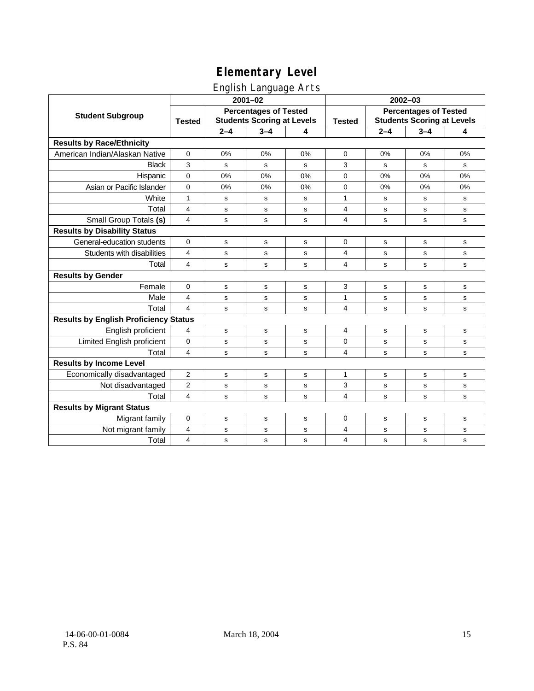## English Language Arts

|                                              |                         |         | ັ                                                                 |    |                |             |                                                                   |    |  |
|----------------------------------------------|-------------------------|---------|-------------------------------------------------------------------|----|----------------|-------------|-------------------------------------------------------------------|----|--|
|                                              |                         |         | $2001 - 02$                                                       |    |                | $2002 - 03$ |                                                                   |    |  |
| <b>Student Subgroup</b>                      | <b>Tested</b>           |         | <b>Percentages of Tested</b><br><b>Students Scoring at Levels</b> |    | <b>Tested</b>  |             | <b>Percentages of Tested</b><br><b>Students Scoring at Levels</b> |    |  |
|                                              |                         | $2 - 4$ | $3 - 4$                                                           | 4  |                | $2 - 4$     | $3 - 4$                                                           | 4  |  |
| <b>Results by Race/Ethnicity</b>             |                         |         |                                                                   |    |                |             |                                                                   |    |  |
| American Indian/Alaskan Native               | $\mathbf{0}$            | 0%      | 0%                                                                | 0% | $\mathbf 0$    | 0%          | 0%                                                                | 0% |  |
| <b>Black</b>                                 | 3                       | s       | s                                                                 | s  | 3              | s           | s                                                                 | s  |  |
| Hispanic                                     | $\mathbf 0$             | 0%      | 0%                                                                | 0% | 0              | 0%          | 0%                                                                | 0% |  |
| Asian or Pacific Islander                    | $\mathbf{0}$            | 0%      | 0%                                                                | 0% | 0              | 0%          | 0%                                                                | 0% |  |
| White                                        | 1                       | s       | s                                                                 | s  | 1              | s           | s                                                                 | s  |  |
| Total                                        | $\overline{4}$          | s       | $\mathbf s$                                                       | s  | 4              | s           | s                                                                 | s  |  |
| Small Group Totals (s)                       | 4                       | s       | $\mathbf s$                                                       | s  | 4              | $\mathbf s$ | $\mathbf s$                                                       | s  |  |
| <b>Results by Disability Status</b>          |                         |         |                                                                   |    |                |             |                                                                   |    |  |
| General-education students                   | $\Omega$                | s       | s                                                                 | s  | $\Omega$       | s           | s                                                                 | s  |  |
| Students with disabilities                   | 4                       | s       | s                                                                 | s  | 4              | s           | s                                                                 | s  |  |
| Total                                        | 4                       | s       | s                                                                 | s  | 4              | s           | s                                                                 | s  |  |
| <b>Results by Gender</b>                     |                         |         |                                                                   |    |                |             |                                                                   |    |  |
| Female                                       | 0                       | s       | s                                                                 | s  | 3              | s           | $\mathbf S$                                                       | s  |  |
| Male                                         | $\overline{4}$          | s       | s                                                                 | s  | $\mathbf{1}$   | s           | s                                                                 | s  |  |
| Total                                        | $\overline{\mathbf{4}}$ | s       | s                                                                 | s  | $\overline{4}$ | $\mathbf s$ | $\mathbf s$                                                       | s  |  |
| <b>Results by English Proficiency Status</b> |                         |         |                                                                   |    |                |             |                                                                   |    |  |
| English proficient                           | 4                       | s       | s                                                                 | s  | $\overline{4}$ | s           | s                                                                 | s  |  |
| Limited English proficient                   | $\mathbf{0}$            | s       | s                                                                 | S  | 0              | s           | s                                                                 | s  |  |
| Total                                        | 4                       | s       | s                                                                 | s  | 4              | s           | s                                                                 | s  |  |
| <b>Results by Income Level</b>               |                         |         |                                                                   |    |                |             |                                                                   |    |  |
| Economically disadvantaged                   | $\overline{2}$          | s       | $\mathbf s$                                                       | s  | $\mathbf{1}$   | s           | s                                                                 | s  |  |
| Not disadvantaged                            | 2                       | s       | s                                                                 | s  | 3              | s           | $\mathbf S$                                                       | s  |  |
| Total                                        | $\overline{4}$          | s       | s                                                                 | s  | 4              | s           | s                                                                 | s  |  |
| <b>Results by Migrant Status</b>             |                         |         |                                                                   |    |                |             |                                                                   |    |  |
| Migrant family                               | $\mathbf 0$             | s       | s                                                                 | s  | 0              | s           | s                                                                 | s  |  |
| Not migrant family                           | 4                       | s       | $\mathbf s$                                                       | s  | 4              | s           | $\mathbf S$                                                       | s  |  |
| Total                                        | $\overline{4}$          | s       | s                                                                 | s  | $\overline{4}$ | s           | s                                                                 | s  |  |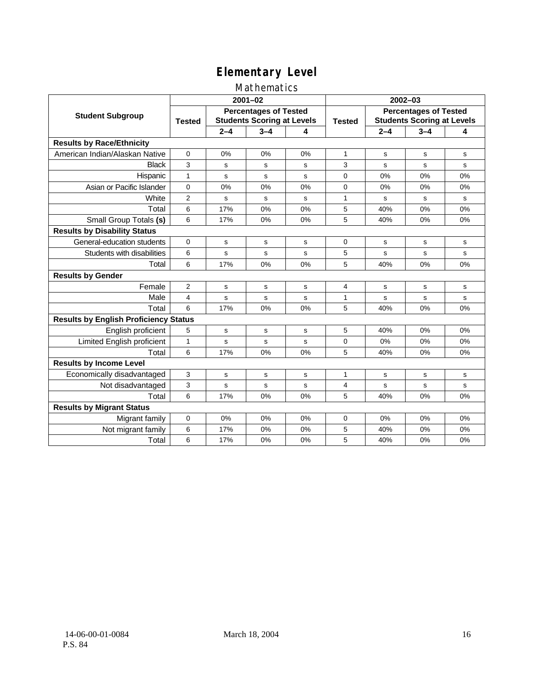### Mathematics

|                                              |                |         | $2001 - 02$                                                       |    | $2002 - 03$                                                                        |         |         |           |
|----------------------------------------------|----------------|---------|-------------------------------------------------------------------|----|------------------------------------------------------------------------------------|---------|---------|-----------|
| <b>Student Subgroup</b>                      | <b>Tested</b>  |         | <b>Percentages of Tested</b><br><b>Students Scoring at Levels</b> |    | <b>Percentages of Tested</b><br><b>Students Scoring at Levels</b><br><b>Tested</b> |         |         |           |
|                                              |                | $2 - 4$ | $3 - 4$                                                           | 4  |                                                                                    | $2 - 4$ | $3 - 4$ | 4         |
| <b>Results by Race/Ethnicity</b>             |                |         |                                                                   |    |                                                                                    |         |         |           |
| American Indian/Alaskan Native               | $\Omega$       | 0%      | 0%                                                                | 0% | $\mathbf{1}$                                                                       | S       | s       | s         |
| <b>Black</b>                                 | 3              | s       | s                                                                 | s  | 3                                                                                  | S       | s       | s         |
| Hispanic                                     | $\mathbf{1}$   | s       | s                                                                 | s  | $\Omega$                                                                           | 0%      | 0%      | 0%        |
| Asian or Pacific Islander                    | $\mathbf 0$    | 0%      | 0%                                                                | 0% | 0                                                                                  | 0%      | 0%      | 0%        |
| White                                        | $\overline{2}$ | s       | $\mathbf s$                                                       | S  | $\mathbf{1}$                                                                       | s       | s       | ${\tt s}$ |
| Total                                        | 6              | 17%     | 0%                                                                | 0% | 5                                                                                  | 40%     | 0%      | 0%        |
| Small Group Totals (s)                       | 6              | 17%     | 0%                                                                | 0% | 5                                                                                  | 40%     | 0%      | 0%        |
| <b>Results by Disability Status</b>          |                |         |                                                                   |    |                                                                                    |         |         |           |
| General-education students                   | $\Omega$       | s       | s                                                                 | s  | $\Omega$                                                                           | S       | s       | s         |
| Students with disabilities                   | 6              | s       | s                                                                 | s  | 5                                                                                  | s       | s       | s         |
| Total                                        | 6              | 17%     | 0%                                                                | 0% | 5                                                                                  | 40%     | 0%      | 0%        |
| <b>Results by Gender</b>                     |                |         |                                                                   |    |                                                                                    |         |         |           |
| Female                                       | 2              | s       | $\mathbf s$                                                       | s  | 4                                                                                  | s       | s       | ${\tt s}$ |
| Male                                         | $\overline{4}$ | s       | s                                                                 | s  | 1                                                                                  | s       | s       | s         |
| Total                                        | 6              | 17%     | 0%                                                                | 0% | 5                                                                                  | 40%     | 0%      | 0%        |
| <b>Results by English Proficiency Status</b> |                |         |                                                                   |    |                                                                                    |         |         |           |
| English proficient                           | 5              | s       | s                                                                 | s  | 5                                                                                  | 40%     | 0%      | 0%        |
| Limited English proficient                   | 1              | s       | s                                                                 | S  | 0                                                                                  | 0%      | 0%      | 0%        |
| Total                                        | 6              | 17%     | 0%                                                                | 0% | 5                                                                                  | 40%     | 0%      | 0%        |
| <b>Results by Income Level</b>               |                |         |                                                                   |    |                                                                                    |         |         |           |
| Economically disadvantaged                   | 3              | s       | s                                                                 | s  | $\mathbf{1}$                                                                       | s       | s       | s         |
| Not disadvantaged                            | 3              | s       | s                                                                 | s  | 4                                                                                  | s       | s       | s         |
| Total                                        | 6              | 17%     | 0%                                                                | 0% | 5                                                                                  | 40%     | 0%      | 0%        |
| <b>Results by Migrant Status</b>             |                |         |                                                                   |    |                                                                                    |         |         |           |
| Migrant family                               | 0              | 0%      | 0%                                                                | 0% | 0                                                                                  | 0%      | 0%      | 0%        |
| Not migrant family                           | 6              | 17%     | 0%                                                                | 0% | 5                                                                                  | 40%     | 0%      | 0%        |
| Total                                        | 6              | 17%     | 0%                                                                | 0% | 5                                                                                  | 40%     | 0%      | 0%        |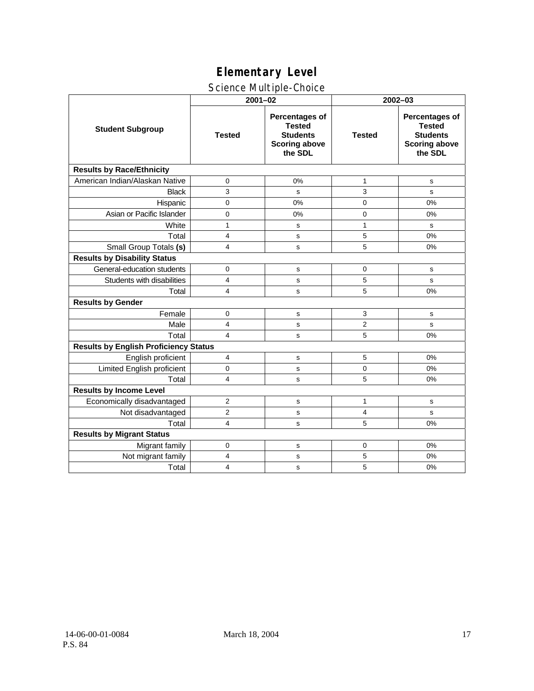### Science Multiple-Choice

|                                              | $2001 - 02$    |                                                                                              | 2002-03        |                                                                                              |  |
|----------------------------------------------|----------------|----------------------------------------------------------------------------------------------|----------------|----------------------------------------------------------------------------------------------|--|
| <b>Student Subgroup</b>                      | <b>Tested</b>  | <b>Percentages of</b><br><b>Tested</b><br><b>Students</b><br><b>Scoring above</b><br>the SDL | <b>Tested</b>  | <b>Percentages of</b><br><b>Tested</b><br><b>Students</b><br><b>Scoring above</b><br>the SDL |  |
| <b>Results by Race/Ethnicity</b>             |                |                                                                                              |                |                                                                                              |  |
| American Indian/Alaskan Native               | 0              | 0%                                                                                           | $\mathbf{1}$   | s                                                                                            |  |
| <b>Black</b>                                 | 3              | s                                                                                            | 3              | ${\tt s}$                                                                                    |  |
| Hispanic                                     | 0              | 0%                                                                                           | $\mathbf 0$    | 0%                                                                                           |  |
| Asian or Pacific Islander                    | $\mathbf 0$    | 0%                                                                                           | 0              | 0%                                                                                           |  |
| White                                        | $\mathbf{1}$   | s                                                                                            | $\mathbf{1}$   | s                                                                                            |  |
| Total                                        | $\overline{4}$ | s                                                                                            | 5              | 0%                                                                                           |  |
| Small Group Totals (s)                       | 4              | s                                                                                            | 5              | 0%                                                                                           |  |
| <b>Results by Disability Status</b>          |                |                                                                                              |                |                                                                                              |  |
| General-education students                   | $\mathbf 0$    | s                                                                                            | $\mathbf 0$    | s                                                                                            |  |
| Students with disabilities                   | 4              | s                                                                                            | 5              | s                                                                                            |  |
| Total                                        | 4              | s                                                                                            | 5              | 0%                                                                                           |  |
| <b>Results by Gender</b>                     |                |                                                                                              |                |                                                                                              |  |
| Female                                       | 0              | s                                                                                            | 3              | ${\tt s}$                                                                                    |  |
| Male                                         | 4              | s                                                                                            | $\overline{2}$ | s                                                                                            |  |
| Total                                        | $\overline{4}$ | s                                                                                            | 5              | 0%                                                                                           |  |
| <b>Results by English Proficiency Status</b> |                |                                                                                              |                |                                                                                              |  |
| English proficient                           | 4              | s                                                                                            | 5              | 0%                                                                                           |  |
| Limited English proficient                   | $\Omega$       | s                                                                                            | $\mathbf 0$    | 0%                                                                                           |  |
| Total                                        | 4              | s                                                                                            | 5              | 0%                                                                                           |  |
| <b>Results by Income Level</b>               |                |                                                                                              |                |                                                                                              |  |
| Economically disadvantaged                   | 2              | s                                                                                            | 1              | s                                                                                            |  |
| Not disadvantaged                            | $\overline{2}$ | s                                                                                            | 4              | s                                                                                            |  |
| Total                                        | 4              | s                                                                                            | 5              | 0%                                                                                           |  |
| <b>Results by Migrant Status</b>             |                |                                                                                              |                |                                                                                              |  |
| Migrant family                               | 0              | s                                                                                            | 0              | 0%                                                                                           |  |
| Not migrant family                           | 4              | s                                                                                            | 5              | 0%                                                                                           |  |
| Total                                        | 4              | s                                                                                            | 5              | 0%                                                                                           |  |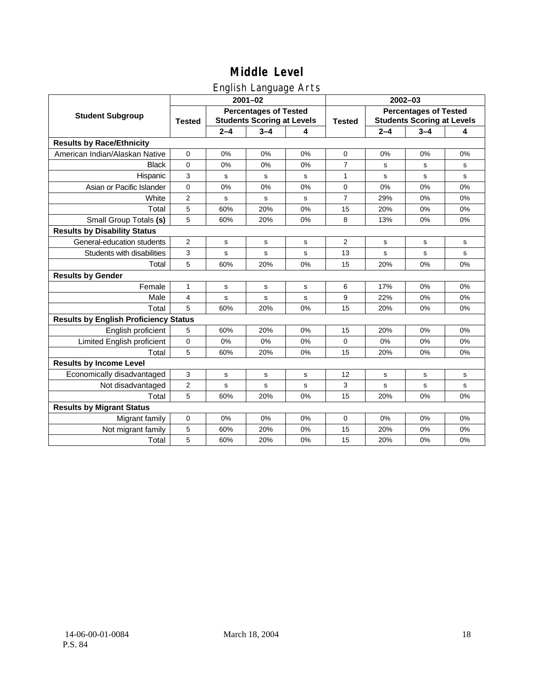## English Language Arts

|                                              |                                                                                    |             | ັ<br>$2001 - 02$ |               | 2002-03                                                           |         |         |    |
|----------------------------------------------|------------------------------------------------------------------------------------|-------------|------------------|---------------|-------------------------------------------------------------------|---------|---------|----|
| <b>Student Subgroup</b>                      | <b>Percentages of Tested</b><br><b>Students Scoring at Levels</b><br><b>Tested</b> |             |                  | <b>Tested</b> | <b>Percentages of Tested</b><br><b>Students Scoring at Levels</b> |         |         |    |
|                                              |                                                                                    | $2 - 4$     | $3 - 4$          | 4             |                                                                   | $2 - 4$ | $3 - 4$ | 4  |
| <b>Results by Race/Ethnicity</b>             |                                                                                    |             |                  |               |                                                                   |         |         |    |
| American Indian/Alaskan Native               | $\mathbf 0$                                                                        | 0%          | 0%               | 0%            | $\mathbf 0$                                                       | 0%      | 0%      | 0% |
| <b>Black</b>                                 | 0                                                                                  | 0%          | 0%               | 0%            | $\overline{7}$                                                    | s       | s       | s  |
| Hispanic                                     | 3                                                                                  | s           | s                | s             | 1                                                                 | s       | s       | s  |
| Asian or Pacific Islander                    | 0                                                                                  | 0%          | 0%               | 0%            | $\mathbf 0$                                                       | 0%      | 0%      | 0% |
| White                                        | 2                                                                                  | $\mathbf s$ | $\mathbf s$      | s             | $\overline{7}$                                                    | 29%     | 0%      | 0% |
| Total                                        | 5                                                                                  | 60%         | 20%              | 0%            | 15                                                                | 20%     | 0%      | 0% |
| Small Group Totals (s)                       | 5                                                                                  | 60%         | 20%              | 0%            | 8                                                                 | 13%     | 0%      | 0% |
| <b>Results by Disability Status</b>          |                                                                                    |             |                  |               |                                                                   |         |         |    |
| General-education students                   | $\overline{2}$                                                                     | s           | s                | s             | 2                                                                 | s       | s       | s  |
| Students with disabilities                   | 3                                                                                  | s           | s                | s             | 13                                                                | s       | s       | s  |
| Total                                        | 5                                                                                  | 60%         | 20%              | 0%            | 15                                                                | 20%     | 0%      | 0% |
| <b>Results by Gender</b>                     |                                                                                    |             |                  |               |                                                                   |         |         |    |
| Female                                       | 1                                                                                  | s           | s                | s             | 6                                                                 | 17%     | 0%      | 0% |
| Male                                         | 4                                                                                  | s           | $\mathbf s$      | s             | 9                                                                 | 22%     | 0%      | 0% |
| Total                                        | 5                                                                                  | 60%         | 20%              | 0%            | 15                                                                | 20%     | 0%      | 0% |
| <b>Results by English Proficiency Status</b> |                                                                                    |             |                  |               |                                                                   |         |         |    |
| English proficient                           | 5                                                                                  | 60%         | 20%              | 0%            | 15                                                                | 20%     | 0%      | 0% |
| Limited English proficient                   | 0                                                                                  | 0%          | 0%               | 0%            | $\mathbf 0$                                                       | 0%      | 0%      | 0% |
| Total                                        | 5                                                                                  | 60%         | 20%              | 0%            | 15                                                                | 20%     | 0%      | 0% |
| <b>Results by Income Level</b>               |                                                                                    |             |                  |               |                                                                   |         |         |    |
| Economically disadvantaged                   | 3                                                                                  | s           | s                | s             | 12                                                                | s       | s       | s  |
| Not disadvantaged                            | $\overline{2}$                                                                     | s           | $\mathbf s$      | s             | 3                                                                 | s       | s       | s  |
| Total                                        | 5                                                                                  | 60%         | 20%              | 0%            | 15                                                                | 20%     | 0%      | 0% |
| <b>Results by Migrant Status</b>             |                                                                                    |             |                  |               |                                                                   |         |         |    |
| Migrant family                               | 0                                                                                  | 0%          | 0%               | 0%            | $\mathbf 0$                                                       | 0%      | 0%      | 0% |
| Not migrant family                           | 5                                                                                  | 60%         | 20%              | 0%            | 15                                                                | 20%     | 0%      | 0% |
| Total                                        | 5                                                                                  | 60%         | 20%              | 0%            | 15                                                                | 20%     | 0%      | 0% |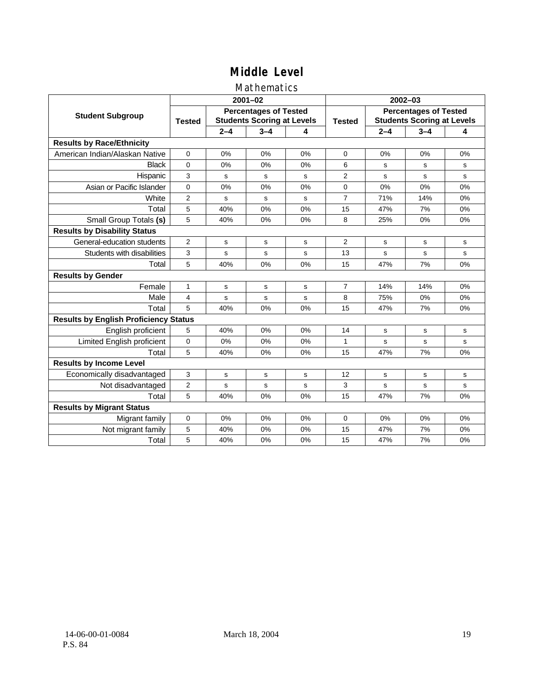### Mathematics

|                                              |                |         | $2001 - 02$                                                       |    | $2002 - 03$    |                                                                   |         |              |  |
|----------------------------------------------|----------------|---------|-------------------------------------------------------------------|----|----------------|-------------------------------------------------------------------|---------|--------------|--|
| <b>Student Subgroup</b>                      | <b>Tested</b>  |         | <b>Percentages of Tested</b><br><b>Students Scoring at Levels</b> |    | <b>Tested</b>  | <b>Percentages of Tested</b><br><b>Students Scoring at Levels</b> |         |              |  |
|                                              |                | $2 - 4$ | $3 - 4$                                                           | 4  |                | $2 - 4$                                                           | $3 - 4$ | 4            |  |
| <b>Results by Race/Ethnicity</b>             |                |         |                                                                   |    |                |                                                                   |         |              |  |
| American Indian/Alaskan Native               | $\Omega$       | 0%      | 0%                                                                | 0% | $\Omega$       | 0%                                                                | 0%      | 0%           |  |
| <b>Black</b>                                 | $\Omega$       | 0%      | 0%                                                                | 0% | 6              | S                                                                 | s       | s            |  |
| Hispanic                                     | 3              | s       | s                                                                 | s  | 2              | s                                                                 | s       | s            |  |
| Asian or Pacific Islander                    | $\mathbf 0$    | 0%      | 0%                                                                | 0% | 0              | 0%                                                                | 0%      | 0%           |  |
| White                                        | $\overline{2}$ | s       | ${\bf s}$                                                         | S  | $\overline{7}$ | 71%                                                               | 14%     | 0%           |  |
| Total                                        | 5              | 40%     | 0%                                                                | 0% | 15             | 47%                                                               | 7%      | 0%           |  |
| Small Group Totals (s)                       | 5              | 40%     | 0%                                                                | 0% | 8              | 25%                                                               | 0%      | 0%           |  |
| <b>Results by Disability Status</b>          |                |         |                                                                   |    |                |                                                                   |         |              |  |
| General-education students                   | $\overline{2}$ | s       | s                                                                 | S  | $\overline{2}$ | S                                                                 | s       | s            |  |
| Students with disabilities                   | 3              | s       | s                                                                 | s  | 13             | s                                                                 | s       | $\mathbf{s}$ |  |
| Total                                        | 5              | 40%     | 0%                                                                | 0% | 15             | 47%                                                               | 7%      | 0%           |  |
| <b>Results by Gender</b>                     |                |         |                                                                   |    |                |                                                                   |         |              |  |
| Female                                       | 1              | s       | s                                                                 | s  | 7              | 14%                                                               | 14%     | 0%           |  |
| Male                                         | $\overline{4}$ | s       | s                                                                 | s  | 8              | 75%                                                               | 0%      | 0%           |  |
| Total                                        | 5              | 40%     | 0%                                                                | 0% | 15             | 47%                                                               | 7%      | 0%           |  |
| <b>Results by English Proficiency Status</b> |                |         |                                                                   |    |                |                                                                   |         |              |  |
| English proficient                           | 5              | 40%     | 0%                                                                | 0% | 14             | s                                                                 | s       | s            |  |
| Limited English proficient                   | 0              | 0%      | 0%                                                                | 0% | $\mathbf{1}$   | s                                                                 | s       | s            |  |
| Total                                        | 5              | 40%     | 0%                                                                | 0% | 15             | 47%                                                               | 7%      | 0%           |  |
| <b>Results by Income Level</b>               |                |         |                                                                   |    |                |                                                                   |         |              |  |
| Economically disadvantaged                   | 3              | s       | s                                                                 | s  | 12             | s                                                                 | s       | s            |  |
| Not disadvantaged                            | $\overline{2}$ | s       | s                                                                 | s  | 3              | s                                                                 | s       | s            |  |
| Total                                        | 5              | 40%     | 0%                                                                | 0% | 15             | 47%                                                               | 7%      | 0%           |  |
| <b>Results by Migrant Status</b>             |                |         |                                                                   |    |                |                                                                   |         |              |  |
| Migrant family                               | 0              | 0%      | 0%                                                                | 0% | 0              | 0%                                                                | 0%      | 0%           |  |
| Not migrant family                           | 5              | 40%     | 0%                                                                | 0% | 15             | 47%                                                               | 7%      | 0%           |  |
| Total                                        | 5              | 40%     | 0%                                                                | 0% | 15             | 47%                                                               | 7%      | 0%           |  |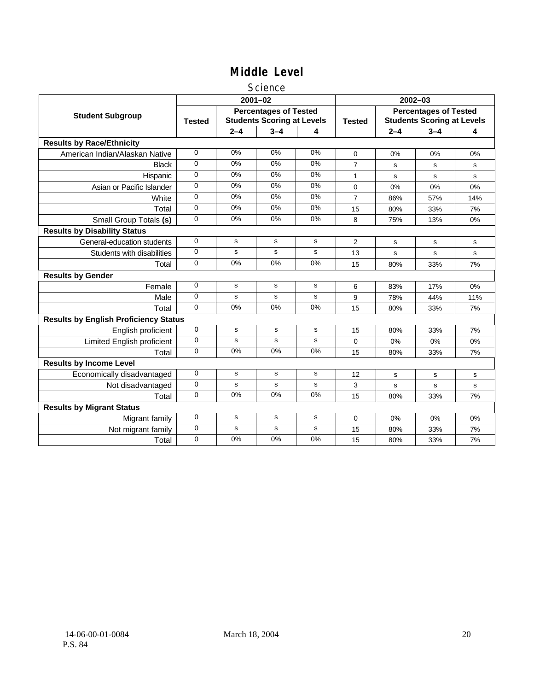#### **Science**

|                                              |                |             | $2001 - 02$                                                       |             | 2002-03        |                                                                   |         |     |  |
|----------------------------------------------|----------------|-------------|-------------------------------------------------------------------|-------------|----------------|-------------------------------------------------------------------|---------|-----|--|
| <b>Student Subgroup</b>                      | <b>Tested</b>  |             | <b>Percentages of Tested</b><br><b>Students Scoring at Levels</b> |             | <b>Tested</b>  | <b>Percentages of Tested</b><br><b>Students Scoring at Levels</b> |         |     |  |
|                                              |                | $2 - 4$     | $3 - 4$                                                           | 4           |                | $2 - 4$                                                           | $3 - 4$ | 4   |  |
| <b>Results by Race/Ethnicity</b>             |                |             |                                                                   |             |                |                                                                   |         |     |  |
| American Indian/Alaskan Native               | $\overline{0}$ | 0%          | 0%                                                                | 0%          | 0              | 0%                                                                | 0%      | 0%  |  |
| <b>Black</b>                                 | 0              | 0%          | 0%                                                                | 0%          | 7              | s                                                                 | s       | s   |  |
| Hispanic                                     | 0              | 0%          | 0%                                                                | $0\%$       | 1              | s                                                                 | s       | s   |  |
| Asian or Pacific Islander                    | $\Omega$       | 0%          | 0%                                                                | $0\%$       | 0              | 0%                                                                | 0%      | 0%  |  |
| White                                        | 0              | 0%          | 0%                                                                | $0\%$       | 7              | 86%                                                               | 57%     | 14% |  |
| Total                                        | 0              | 0%          | 0%                                                                | 0%          | 15             | 80%                                                               | 33%     | 7%  |  |
| Small Group Totals (s)                       | $\Omega$       | 0%          | $0\%$                                                             | $0\%$       | 8              | 75%                                                               | 13%     | 0%  |  |
| <b>Results by Disability Status</b>          |                |             |                                                                   |             |                |                                                                   |         |     |  |
| General-education students                   | $\Omega$       | s           | s                                                                 | s           | $\overline{2}$ | s                                                                 | s       | s   |  |
| Students with disabilities                   | 0              | s           | s                                                                 | s           | 13             | s                                                                 | s       | s   |  |
| Total                                        | 0              | 0%          | 0%                                                                | 0%          | 15             | 80%                                                               | 33%     | 7%  |  |
| <b>Results by Gender</b>                     |                |             |                                                                   |             |                |                                                                   |         |     |  |
| Female                                       | 0              | s           | s                                                                 | s           | 6              | 83%                                                               | 17%     | 0%  |  |
| Male                                         | 0              | s           | s                                                                 | s           | 9              | 78%                                                               | 44%     | 11% |  |
| Total                                        | $\Omega$       | 0%          | 0%                                                                | 0%          | 15             | 80%                                                               | 33%     | 7%  |  |
| <b>Results by English Proficiency Status</b> |                |             |                                                                   |             |                |                                                                   |         |     |  |
| English proficient                           | 0              | $\mathbf S$ | $\mathbf s$                                                       | $\mathbf s$ | 15             | 80%                                                               | 33%     | 7%  |  |
| Limited English proficient                   | 0              | s           | s                                                                 | s           | 0              | 0%                                                                | 0%      | 0%  |  |
| Total                                        | 0              | 0%          | 0%                                                                | 0%          | 15             | 80%                                                               | 33%     | 7%  |  |
| <b>Results by Income Level</b>               |                |             |                                                                   |             |                |                                                                   |         |     |  |
| Economically disadvantaged                   | 0              | s           | $\mathbf s$                                                       | s           | 12             | s                                                                 | s       | s   |  |
| Not disadvantaged                            | 0              | s           | s                                                                 | s           | 3              | s                                                                 | s       | s   |  |
| Total                                        | 0              | 0%          | 0%                                                                | 0%          | 15             | 80%                                                               | 33%     | 7%  |  |
| <b>Results by Migrant Status</b>             |                |             |                                                                   |             |                |                                                                   |         |     |  |
| Migrant family                               | 0              | s           | s                                                                 | s           | 0              | 0%                                                                | 0%      | 0%  |  |
| Not migrant family                           | 0              | $\mathbf s$ | $\mathbf s$                                                       | $\mathbf s$ | 15             | 80%                                                               | 33%     | 7%  |  |
| Total                                        | 0              | 0%          | 0%                                                                | 0%          | 15             | 80%                                                               | 33%     | 7%  |  |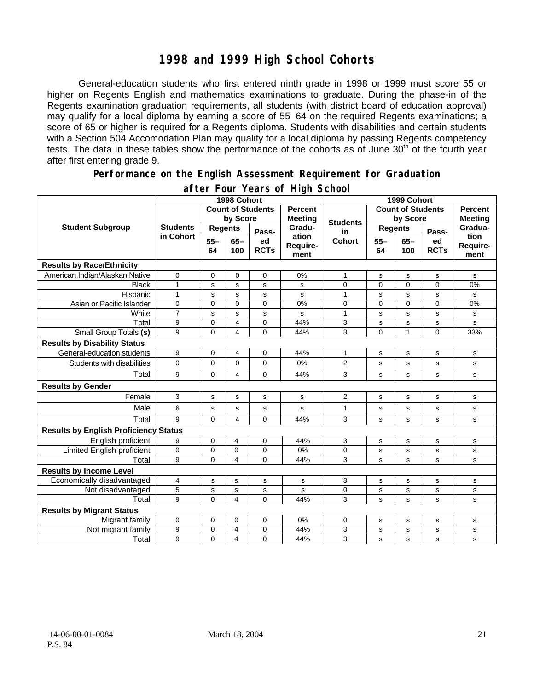## **1998 and 1999 High School Cohorts**

General-education students who first entered ninth grade in 1998 or 1999 must score 55 or higher on Regents English and mathematics examinations to graduate. During the phase-in of the Regents examination graduation requirements, all students (with district board of education approval) may qualify for a local diploma by earning a score of 55–64 on the required Regents examinations; a score of 65 or higher is required for a Regents diploma. Students with disabilities and certain students with a Section 504 Accomodation Plan may qualify for a local diploma by passing Regents competency tests. The data in these tables show the performance of the cohorts as of June 30<sup>th</sup> of the fourth year after first entering grade 9.

#### **Performance on the English Assessment Requirement for Graduation**

|                                              |                              | 1998 Cohort              |                | 1999 Cohort       |                           |                       |                          |                |                   |                                                                                     |
|----------------------------------------------|------------------------------|--------------------------|----------------|-------------------|---------------------------|-----------------------|--------------------------|----------------|-------------------|-------------------------------------------------------------------------------------|
|                                              |                              | <b>Count of Students</b> |                |                   | <b>Percent</b>            |                       | <b>Count of Students</b> |                |                   | <b>Percent</b>                                                                      |
| <b>Student Subgroup</b>                      | <b>Students</b><br>in Cohort | by Score                 |                |                   | <b>Meeting</b><br>Gradu-  | <b>Students</b><br>in | by Score                 |                | <b>Meeting</b>    |                                                                                     |
|                                              |                              | <b>Regents</b>           |                | Pass-             |                           |                       | <b>Regents</b>           |                | Pass-             | Gradua-<br>tion<br>Require-<br>ment<br>${\tt s}$<br>0%<br>s<br>0%<br>s<br>${\tt s}$ |
|                                              |                              | $55 -$<br>64             | $65-$<br>100   | ed<br><b>RCTs</b> | ation<br>Require-<br>ment | <b>Cohort</b>         | $55 -$<br>64             | $65 -$<br>100  | ed<br><b>RCTs</b> |                                                                                     |
| <b>Results by Race/Ethnicity</b>             |                              |                          |                |                   |                           |                       |                          |                |                   |                                                                                     |
| American Indian/Alaskan Native               | 0                            | $\mathbf 0$              | 0              | $\mathbf 0$       | 0%                        | 1                     | s                        | s              | s                 |                                                                                     |
| <b>Black</b>                                 | $\overline{1}$               | s                        | $\mathbf s$    | s                 | s                         | 0                     | $\mathbf 0$              | $\overline{0}$ | $\overline{0}$    |                                                                                     |
| Hispanic                                     | $\mathbf{1}$                 | $\mathbf s$              | s              | s                 | s                         | $\mathbf{1}$          | s                        | s              | s                 |                                                                                     |
| Asian or Pacific Islander                    | 0                            | $\mathbf 0$              | $\mathbf 0$    | 0                 | 0%                        | 0                     | $\mathbf 0$              | 0              | 0                 |                                                                                     |
| White                                        | $\overline{7}$               | $\mathbf s$              | $\mathbf s$    | s                 | s                         | $\mathbf{1}$          | s                        | s              | s                 |                                                                                     |
| Total                                        | 9                            | $\mathbf 0$              | 4              | 0                 | 44%                       | 3                     | $\mathbf S$              | s              | s                 |                                                                                     |
| Small Group Totals (s)                       | 9                            | $\mathbf 0$              | 4              | $\overline{0}$    | 44%                       | 3                     | $\Omega$                 | $\mathbf{1}$   | $\Omega$          | 33%                                                                                 |
| <b>Results by Disability Status</b>          |                              |                          |                |                   |                           |                       |                          |                |                   |                                                                                     |
| General-education students                   | 9                            | $\mathbf 0$              | 4              | 0                 | 44%                       | 1                     | s                        | $\mathbf s$    | s                 | ${\tt s}$                                                                           |
| Students with disabilities                   | $\Omega$                     | $\mathbf 0$              | 0              | $\overline{0}$    | 0%                        | $\overline{2}$        | s                        | s              | s                 | s                                                                                   |
| Total                                        | 9                            | $\mathbf 0$              | 4              | 0                 | 44%                       | 3                     | s                        | s              | s                 | ${\tt s}$                                                                           |
| <b>Results by Gender</b>                     |                              |                          |                |                   |                           |                       |                          |                |                   |                                                                                     |
| Female                                       | 3                            | s                        | s              | s                 | s                         | $\overline{2}$        | s                        | s              | s                 | $\mathbf s$                                                                         |
| Male                                         | 6                            | s                        | s              | s                 | s                         | 1                     | s                        | s              | s                 | $\mathbf s$                                                                         |
| Total                                        | 9                            | $\mathbf 0$              | 4              | $\overline{0}$    | 44%                       | 3                     | s                        | s              | s                 | s                                                                                   |
| <b>Results by English Proficiency Status</b> |                              |                          |                |                   |                           |                       |                          |                |                   |                                                                                     |
| English proficient                           | 9                            | $\mathbf 0$              | 4              | 0                 | 44%                       | 3                     | s                        | s              | $\mathbf s$       | $\mathbf s$                                                                         |
| Limited English proficient                   | 0                            | $\mathbf 0$              | 0              | 0                 | 0%                        | 0                     | s                        | s              | s                 | $\mathbf s$                                                                         |
| Total                                        | 9                            | $\Omega$                 | $\overline{4}$ | $\Omega$          | 44%                       | 3                     | s                        | s              | s                 | s                                                                                   |
| <b>Results by Income Level</b>               |                              |                          |                |                   |                           |                       |                          |                |                   |                                                                                     |
| Economically disadvantaged                   | 4                            | s                        | $\mathbf s$    | s                 | s                         | 3                     | s                        | $\mathbf s$    | s                 | $\mathbf s$                                                                         |
| Not disadvantaged                            | 5                            | s                        | $\mathbf S$    | s                 | s                         | 0                     | s                        | s              | s                 | s                                                                                   |
| Total                                        | 9                            | $\mathbf 0$              | 4              | $\Omega$          | 44%                       | 3                     | s                        | s              | s                 | s                                                                                   |
| <b>Results by Migrant Status</b>             |                              |                          |                |                   |                           |                       |                          |                |                   |                                                                                     |
| Migrant family                               | $\mathbf 0$                  | $\mathbf 0$              | $\mathbf 0$    | 0                 | 0%                        | 0                     | s                        | s              | s                 | s                                                                                   |
| Not migrant family                           | 9                            | $\mathbf 0$              | 4              | 0                 | 44%                       | 3                     | s                        | s              | s                 | $\mathbf s$                                                                         |
| Total                                        | 9                            | $\mathbf 0$              | $\overline{4}$ | 0                 | 44%                       | 3                     | s                        | s              | s                 | ${\tt s}$                                                                           |

#### **after Four Years of High School**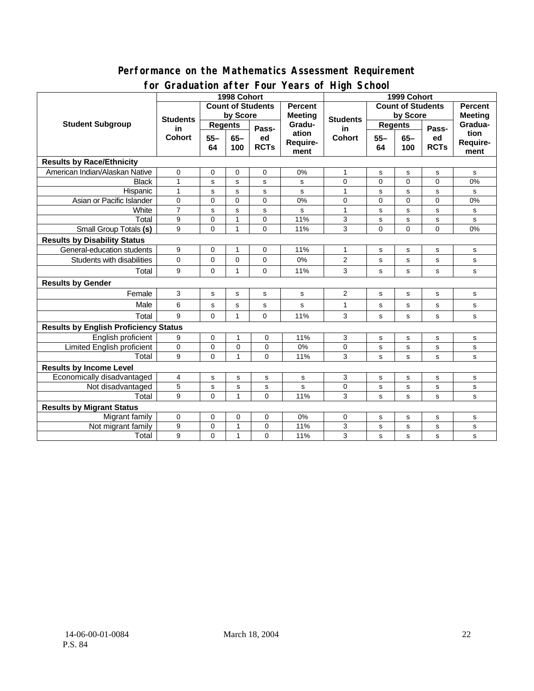#### **Performance on the Mathematics Assessment Requirement for Graduation after Four Years of High School**

|                                              |                                        |                                                           | or addation artor roar roars or right sonoon<br>1999 Cohort |                   |                          |                                         |                |                             |                |          |
|----------------------------------------------|----------------------------------------|-----------------------------------------------------------|-------------------------------------------------------------|-------------------|--------------------------|-----------------------------------------|----------------|-----------------------------|----------------|----------|
|                                              |                                        | 1998 Cohort<br><b>Count of Students</b><br><b>Percent</b> |                                                             |                   | <b>Count of Students</b> |                                         |                |                             | <b>Percent</b> |          |
| <b>Student Subgroup</b>                      | <b>Students</b><br>in<br><b>Cohort</b> | by Score                                                  |                                                             | <b>Meeting</b>    |                          | by Score                                |                | <b>Meeting</b>              |                |          |
|                                              |                                        | <b>Regents</b>                                            |                                                             |                   | Gradu-<br>ation          | <b>Students</b><br>in.<br><b>Cohort</b> | <b>Regents</b> |                             |                | Gradua-  |
|                                              |                                        |                                                           |                                                             | Pass-             |                          |                                         |                |                             | Pass-          | tion     |
|                                              |                                        | $55 -$<br>64                                              | $65-$<br>100                                                | ed<br><b>RCTs</b> | Require-                 |                                         | $55 -$<br>64   | $65-$<br><b>RCTs</b><br>100 | ed             | Require- |
|                                              |                                        |                                                           |                                                             |                   | ment                     |                                         |                |                             |                | ment     |
| <b>Results by Race/Ethnicity</b>             |                                        |                                                           |                                                             |                   |                          |                                         |                |                             |                |          |
| American Indian/Alaskan Native               | $\mathbf 0$                            | 0                                                         | 0                                                           | 0                 | 0%                       | 1                                       | s              | s                           | s              | s        |
| <b>Black</b>                                 | $\mathbf{1}$                           | s                                                         | s                                                           | s                 | s                        | $\Omega$                                | $\Omega$       | $\Omega$                    | $\Omega$       | 0%       |
| Hispanic                                     | $\mathbf{1}$                           | s                                                         | s                                                           | s                 | s                        | 1                                       | s              | s                           | s              | s        |
| Asian or Pacific Islander                    | 0                                      | 0                                                         | $\Omega$                                                    | 0                 | 0%                       | 0                                       | 0              | $\Omega$                    | $\Omega$       | 0%       |
| White                                        | $\overline{7}$                         | s                                                         | s                                                           | s                 | s                        | $\mathbf{1}$                            | s              | s                           | s              | s        |
| Total                                        | 9                                      | $\mathbf 0$                                               | $\mathbf{1}$                                                | 0                 | 11%                      | 3                                       | s              | s                           | s              | s        |
| <b>Small Group Totals (s)</b>                | 9                                      | 0                                                         | $\mathbf{1}$                                                | 0                 | 11%                      | 3                                       | 0              | $\Omega$                    | 0              | 0%       |
| <b>Results by Disability Status</b>          |                                        |                                                           |                                                             |                   |                          |                                         |                |                             |                |          |
| General-education students                   | 9                                      | $\mathbf 0$                                               | 1                                                           | 0                 | 11%                      | 1                                       | s              | s                           | s              | s        |
| Students with disabilities                   | 0                                      | $\mathbf 0$                                               | $\pmb{0}$                                                   | 0                 | 0%                       | $\overline{2}$                          | s              | $\mathbf s$                 | s              | s        |
| Total                                        | 9                                      | $\Omega$                                                  | $\mathbf{1}$                                                | $\Omega$          | 11%                      | 3                                       | s              | s                           | s              | s        |
| <b>Results by Gender</b>                     |                                        |                                                           |                                                             |                   |                          |                                         |                |                             |                |          |
| Female                                       | 3                                      | $\mathbf s$                                               | ${\tt s}$                                                   | s                 | s                        | 2                                       | s              | $\mathbf s$                 | s              | s        |
| Male                                         | 6                                      | s                                                         | s                                                           | s                 | s                        | $\mathbf{1}$                            | s              | s                           | s              | s        |
| Total                                        | 9                                      | $\mathbf 0$                                               | $\mathbf{1}$                                                | 0                 | 11%                      | 3                                       | s              | s                           | s              | s        |
| <b>Results by English Proficiency Status</b> |                                        |                                                           |                                                             |                   |                          |                                         |                |                             |                |          |
| English proficient                           | 9                                      | $\mathbf 0$                                               | $\mathbf{1}$                                                | $\mathbf 0$       | 11%                      | 3                                       | s              | s                           | s              | s        |
| Limited English proficient                   | 0                                      | $\mathbf 0$                                               | $\mathbf 0$                                                 | $\overline{0}$    | 0%                       | 0                                       | s              | s                           | s              | s        |
| Total                                        | 9                                      | $\Omega$                                                  | $\overline{1}$                                              | $\overline{0}$    | 11%                      | 3                                       | s              | s                           | s              | s        |
| <b>Results by Income Level</b>               |                                        |                                                           |                                                             |                   |                          |                                         |                |                             |                |          |
| Economically disadvantaged                   | 4                                      | S                                                         | s                                                           | s                 | s                        | 3                                       | s              | s                           | s              | s        |
| Not disadvantaged                            | 5                                      | s                                                         | s                                                           | $\mathbf s$       | $\mathbf s$              | 0                                       | s              | s                           | ${\tt s}$      | s        |
| Total                                        | 9                                      | $\mathbf 0$                                               | $\mathbf{1}$                                                | $\Omega$          | 11%                      | 3                                       | s              | s                           | s              | s        |
| <b>Results by Migrant Status</b>             |                                        |                                                           |                                                             |                   |                          |                                         |                |                             |                |          |
| Migrant family                               | 0                                      | 0                                                         | 0                                                           | 0                 | 0%                       | 0                                       | S              | s                           | s              | s        |
| Not migrant family                           | 9                                      | $\mathbf 0$                                               | $\mathbf{1}$                                                | 0                 | 11%                      | 3                                       | s              | s                           | s              | s        |
| Total                                        | 9                                      | 0                                                         | $\mathbf{1}$                                                | 0                 | 11%                      | 3                                       | s              | s                           | s              | s        |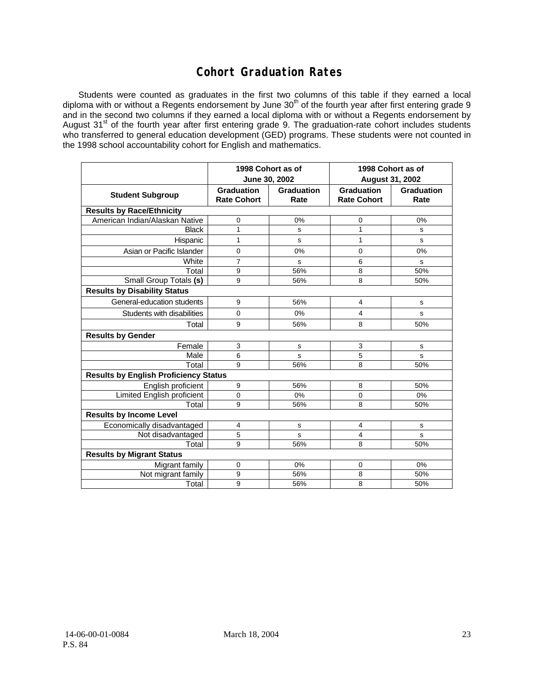## **Cohort Graduation Rates**

Students were counted as graduates in the first two columns of this table if they earned a local diploma with or without a Regents endorsement by June 30<sup>th</sup> of the fourth year after first entering grade 9 and in the second two columns if they earned a local diploma with or without a Regents endorsement by August 31<sup>st</sup> of the fourth year after first entering grade 9. The graduation-rate cohort includes students who transferred to general education development (GED) programs. These students were not counted in the 1998 school accountability cohort for English and mathematics.

|                                              |                                         | 1998 Cohort as of<br>June 30, 2002 | 1998 Cohort as of<br><b>August 31, 2002</b> |                           |  |  |  |  |
|----------------------------------------------|-----------------------------------------|------------------------------------|---------------------------------------------|---------------------------|--|--|--|--|
| <b>Student Subgroup</b>                      | <b>Graduation</b><br><b>Rate Cohort</b> | <b>Graduation</b><br>Rate          | <b>Graduation</b><br><b>Rate Cohort</b>     | <b>Graduation</b><br>Rate |  |  |  |  |
| <b>Results by Race/Ethnicity</b>             |                                         |                                    |                                             |                           |  |  |  |  |
| American Indian/Alaskan Native               | 0                                       | 0%                                 | 0                                           | 0%                        |  |  |  |  |
| <b>Black</b>                                 | 1                                       | s                                  | $\mathbf{1}$                                | s                         |  |  |  |  |
| Hispanic                                     | 1                                       | s                                  | 1                                           | s                         |  |  |  |  |
| Asian or Pacific Islander                    | 0                                       | 0%                                 | 0                                           | 0%                        |  |  |  |  |
| White                                        | $\overline{7}$                          | s                                  | 6                                           | S                         |  |  |  |  |
| Total                                        | 9                                       | 56%                                | 8                                           | 50%                       |  |  |  |  |
| Small Group Totals (s)                       | 9                                       | 56%                                | 8                                           | 50%                       |  |  |  |  |
| <b>Results by Disability Status</b>          |                                         |                                    |                                             |                           |  |  |  |  |
| General-education students                   | 9                                       | 56%                                | $\overline{4}$                              | s                         |  |  |  |  |
| Students with disabilities                   | $\mathbf{0}$                            | 0%                                 | 4                                           | s                         |  |  |  |  |
| Total                                        | 9                                       | 56%                                | 8                                           | 50%                       |  |  |  |  |
| <b>Results by Gender</b>                     |                                         |                                    |                                             |                           |  |  |  |  |
| Female                                       | 3                                       | s                                  | 3                                           | s                         |  |  |  |  |
| Male                                         | 6                                       | s                                  | 5                                           | S                         |  |  |  |  |
| Total                                        | 9                                       | 56%                                | 8                                           | 50%                       |  |  |  |  |
| <b>Results by English Proficiency Status</b> |                                         |                                    |                                             |                           |  |  |  |  |
| English proficient                           | 9                                       | 56%                                | 8                                           | 50%                       |  |  |  |  |
| <b>Limited English proficient</b>            | 0                                       | 0%                                 | 0                                           | 0%                        |  |  |  |  |
| Total                                        | 9                                       | 56%                                | 8                                           | 50%                       |  |  |  |  |
| <b>Results by Income Level</b>               |                                         |                                    |                                             |                           |  |  |  |  |
| Economically disadvantaged                   | 4                                       | s                                  | $\overline{\mathbf{4}}$                     | s                         |  |  |  |  |
| Not disadvantaged                            | 5                                       | s                                  | 4                                           | S                         |  |  |  |  |
| Total                                        | 9                                       | 56%                                | 8                                           | 50%                       |  |  |  |  |
| <b>Results by Migrant Status</b>             |                                         |                                    |                                             |                           |  |  |  |  |
| Migrant family                               | 0                                       | 0%                                 | 0                                           | 0%                        |  |  |  |  |
| Not migrant family                           | 9                                       | 56%                                | 8                                           | 50%                       |  |  |  |  |
| Total                                        | 9                                       | 56%                                | 8                                           | 50%                       |  |  |  |  |